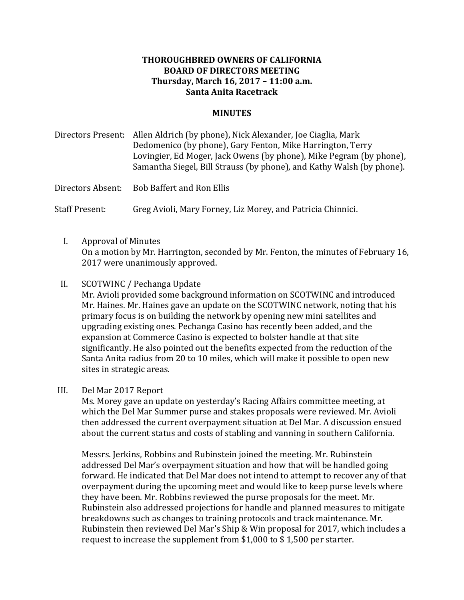## **THOROUGHBRED OWNERS OF CALIFORNIA BOARD OF DIRECTORS MEETING Thursday, March 16, 2017 – 11:00 a.m. Santa Anita Racetrack**

## **MINUTES**

Directors Present: Allen Aldrich (by phone), Nick Alexander, Joe Ciaglia, Mark Dedomenico (by phone), Gary Fenton, Mike Harrington, Terry Lovingier, Ed Moger, Jack Owens (by phone), Mike Pegram (by phone), Samantha Siegel, Bill Strauss (by phone), and Kathy Walsh (by phone).

Directors Absent: Bob Baffert and Ron Ellis

Staff Present: Greg Avioli, Mary Forney, Liz Morey, and Patricia Chinnici.

- I. Approval of Minutes On a motion by Mr. Harrington, seconded by Mr. Fenton, the minutes of February 16, 2017 were unanimously approved.
- II. SCOTWINC / Pechanga Update Mr. Avioli provided some background information on SCOTWINC and introduced Mr. Haines. Mr. Haines gave an update on the SCOTWINC network, noting that his primary focus is on building the network by opening new mini satellites and upgrading existing ones. Pechanga Casino has recently been added, and the expansion at Commerce Casino is expected to bolster handle at that site significantly. He also pointed out the benefits expected from the reduction of the Santa Anita radius from 20 to 10 miles, which will make it possible to open new sites in strategic areas.
- III. Del Mar 2017 Report

Ms. Morey gave an update on yesterday's Racing Affairs committee meeting, at which the Del Mar Summer purse and stakes proposals were reviewed. Mr. Avioli then addressed the current overpayment situation at Del Mar. A discussion ensued about the current status and costs of stabling and vanning in southern California.

Messrs. Jerkins, Robbins and Rubinstein joined the meeting. Mr. Rubinstein addressed Del Mar's overpayment situation and how that will be handled going forward. He indicated that Del Mar does not intend to attempt to recover any of that overpayment during the upcoming meet and would like to keep purse levels where they have been. Mr. Robbins reviewed the purse proposals for the meet. Mr. Rubinstein also addressed projections for handle and planned measures to mitigate breakdowns such as changes to training protocols and track maintenance. Mr. Rubinstein then reviewed Del Mar's Ship & Win proposal for 2017, which includes a request to increase the supplement from  $$1,000$  to  $$1,500$  per starter.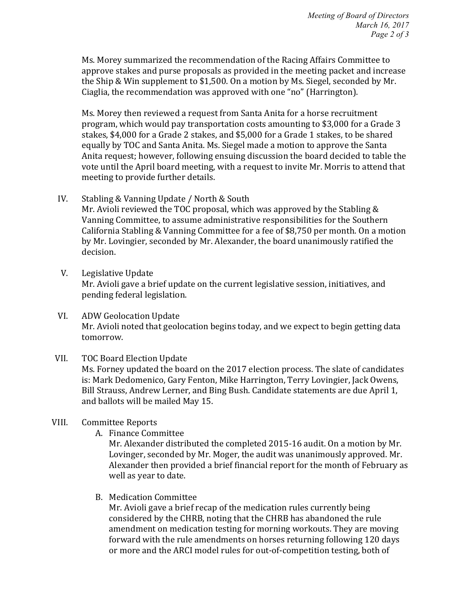Ms. Morey summarized the recommendation of the Racing Affairs Committee to approve stakes and purse proposals as provided in the meeting packet and increase the Ship & Win supplement to \$1,500. On a motion by Ms. Siegel, seconded by Mr. Ciaglia, the recommendation was approved with one "no" (Harrington).

Ms. Morey then reviewed a request from Santa Anita for a horse recruitment program, which would pay transportation costs amounting to \$3,000 for a Grade 3 stakes, \$4,000 for a Grade 2 stakes, and \$5,000 for a Grade 1 stakes, to be shared equally by TOC and Santa Anita. Ms. Siegel made a motion to approve the Santa Anita request; however, following ensuing discussion the board decided to table the vote until the April board meeting, with a request to invite Mr. Morris to attend that meeting to provide further details.

- IV. Stabling & Vanning Update / North & South Mr. Avioli reviewed the TOC proposal, which was approved by the Stabling  $\&$ Vanning Committee, to assume administrative responsibilities for the Southern California Stabling & Vanning Committee for a fee of \$8,750 per month. On a motion by Mr. Lovingier, seconded by Mr. Alexander, the board unanimously ratified the decision.
- V. Legislative Update Mr. Avioli gave a brief update on the current legislative session, initiatives, and pending federal legislation.
- VI. ADW Geolocation Update Mr. Avioli noted that geolocation begins today, and we expect to begin getting data tomorrow.

## VII. TOC Board Election Update

Ms. Forney updated the board on the 2017 election process. The slate of candidates is: Mark Dedomenico, Gary Fenton, Mike Harrington, Terry Lovingier, Jack Owens, Bill Strauss, Andrew Lerner, and Bing Bush. Candidate statements are due April 1, and ballots will be mailed May 15.

## VIII. Committee Reports

A. Finance Committee

Mr. Alexander distributed the completed 2015-16 audit. On a motion by Mr. Lovinger, seconded by Mr. Moger, the audit was unanimously approved. Mr. Alexander then provided a brief financial report for the month of February as well as year to date.

B. Medication Committee

Mr. Avioli gave a brief recap of the medication rules currently being considered by the CHRB, noting that the CHRB has abandoned the rule amendment on medication testing for morning workouts. They are moving forward with the rule amendments on horses returning following 120 days or more and the ARCI model rules for out-of-competition testing, both of